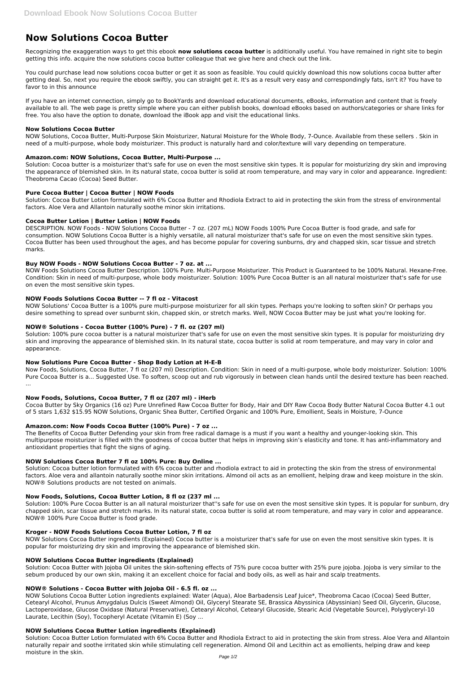# **Now Solutions Cocoa Butter**

Recognizing the exaggeration ways to get this ebook **now solutions cocoa butter** is additionally useful. You have remained in right site to begin getting this info. acquire the now solutions cocoa butter colleague that we give here and check out the link.

You could purchase lead now solutions cocoa butter or get it as soon as feasible. You could quickly download this now solutions cocoa butter after getting deal. So, next you require the ebook swiftly, you can straight get it. It's as a result very easy and correspondingly fats, isn't it? You have to favor to in this announce

If you have an internet connection, simply go to BookYards and download educational documents, eBooks, information and content that is freely available to all. The web page is pretty simple where you can either publish books, download eBooks based on authors/categories or share links for free. You also have the option to donate, download the iBook app and visit the educational links.

#### **Now Solutions Cocoa Butter**

NOW Solutions, Cocoa Butter, Multi-Purpose Skin Moisturizer, Natural Moisture for the Whole Body, 7-Ounce. Available from these sellers . Skin in need of a multi-purpose, whole body moisturizer. This product is naturally hard and color/texture will vary depending on temperature.

## **Amazon.com: NOW Solutions, Cocoa Butter, Multi-Purpose ...**

NOW Solutions' Cocoa Butter is a 100% pure multi-purpose moisturizer for all skin types. Perhaps you're looking to soften skin? Or perhaps you desire something to spread over sunburnt skin, chapped skin, or stretch marks. Well, NOW Cocoa Butter may be just what you're looking for.

Solution: Cocoa butter is a moisturizer that's safe for use on even the most sensitive skin types. It is popular for moisturizing dry skin and improving the appearance of blemished skin. In its natural state, cocoa butter is solid at room temperature, and may vary in color and appearance. Ingredient: Theobroma Cacao (Cocoa) Seed Butter.

#### **Pure Cocoa Butter | Cocoa Butter | NOW Foods**

Solution: Cocoa Butter Lotion formulated with 6% Cocoa Butter and Rhodiola Extract to aid in protecting the skin from the stress of environmental factors. Aloe Vera and Allantoin naturally soothe minor skin irritations.

## **Cocoa Butter Lotion | Butter Lotion | NOW Foods**

DESCRIPTION. NOW Foods - NOW Solutions Cocoa Butter - 7 oz. (207 mL) NOW Foods 100% Pure Cocoa Butter is food grade, and safe for consumption. NOW Solutions Cocoa Butter is a highly versatile, all natural moisturizer that's safe for use on even the most sensitive skin types. Cocoa Butter has been used throughout the ages, and has become popular for covering sunburns, dry and chapped skin, scar tissue and stretch marks.

## **Buy NOW Foods - NOW Solutions Cocoa Butter - 7 oz. at ...**

NOW Foods Solutions Cocoa Butter Description. 100% Pure. Multi-Purpose Moisturizer. This Product is Guaranteed to be 100% Natural. Hexane-Free. Condition: Skin in need of multi-purpose, whole body moisturizer. Solution: 100% Pure Cocoa Butter is an all natural moisturizer that's safe for use on even the most sensitive skin types.

## **NOW Foods Solutions Cocoa Butter -- 7 fl oz - Vitacost**

Solution: Cocoa Butter with Jojoba Oil unites the skin-softening effects of 75% pure cocoa butter with 25% pure jojoba. Jojoba is very similar to the sebum produced by our own skin, making it an excellent choice for facial and body oils, as well as hair and scalp treatments.

## **NOW® Solutions - Cocoa Butter (100% Pure) - 7 fl. oz (207 ml)**

Solution: 100% pure cocoa butter is a natural moisturizer that's safe for use on even the most sensitive skin types. It is popular for moisturizing dry skin and improving the appearance of blemished skin. In its natural state, cocoa butter is solid at room temperature, and may vary in color and appearance.

## **Now Solutions Pure Cocoa Butter - Shop Body Lotion at H-E-B**

Now Foods, Solutions, Cocoa Butter, 7 fl oz (207 ml) Description. Condition: Skin in need of a multi-purpose, whole body moisturizer. Solution: 100% Pure Cocoa Butter is a... Suggested Use. To soften, scoop out and rub vigorously in between clean hands until the desired texture has been reached. ...

#### **Now Foods, Solutions, Cocoa Butter, 7 fl oz (207 ml) - iHerb**

Cocoa Butter by Sky Organics (16 oz) Pure Unrefined Raw Cocoa Butter for Body, Hair and DIY Raw Cocoa Body Butter Natural Cocoa Butter 4.1 out of 5 stars 1,632 \$15.95 NOW Solutions, Organic Shea Butter, Certified Organic and 100% Pure, Emollient, Seals in Moisture, 7-Ounce

## **Amazon.com: Now Foods Cocoa Butter (100% Pure) - 7 oz ...**

The Benefits of Cocoa Butter Defending your skin from free radical damage is a must if you want a healthy and younger-looking skin. This multipurpose moisturizer is filled with the goodness of cocoa butter that helps in improving skin's elasticity and tone. It has anti-inflammatory and antioxidant properties that fight the signs of aging.

#### **NOW Solutions Cocoa Butter 7 fl oz 100% Pure: Buy Online ...**

Solution: Cocoa butter lotion formulated with 6% cocoa butter and rhodiola extract to aid in protecting the skin from the stress of environmental factors. Aloe vera and allantoin naturally soothe minor skin irritations. Almond oil acts as an emollient, helping draw and keep moisture in the skin. NOW® Solutions products are not tested on animals.

## **Now Foods, Solutions, Cocoa Butter Lotion, 8 fl oz (237 ml ...**

Solution: 100% Pure Cocoa Butter is an all natural moisturizer that''s safe for use on even the most sensitive skin types. It is popular for sunburn, dry

chapped skin, scar tissue and stretch marks. In its natural state, cocoa butter is solid at room temperature, and may vary in color and appearance. NOW® 100% Pure Cocoa Butter is food grade.

#### **Kroger - NOW Foods Solutions Cocoa Butter Lotion, 7 fl oz**

NOW Solutions Cocoa Butter ingredients (Explained) Cocoa butter is a moisturizer that's safe for use on even the most sensitive skin types. It is popular for moisturizing dry skin and improving the appearance of blemished skin.

#### **NOW Solutions Cocoa Butter ingredients (Explained)**

#### **NOW® Solutions - Cocoa Butter with Jojoba Oil - 6.5 fl. oz ...**

NOW Solutions Cocoa Butter Lotion ingredients explained: Water (Aqua), Aloe Barbadensis Leaf Juice\*, Theobroma Cacao (Cocoa) Seed Butter, Cetearyl Alcohol, Prunus Amygdalus Dulcis (Sweet Almond) Oil, Glyceryl Stearate SE, Brassica Abyssinica (Abyssinian) Seed Oil, Glycerin, Glucose, Lactoperoxidase, Glucose Oxidase (Natural Preservative), Cetearyl Alcohol, Cetearyl Glucoside, Stearic Acid (Vegetable Source), Polyglyceryl-10 Laurate, Lecithin (Soy), Tocopheryl Acetate (Vitamin E) (Soy ...

#### **NOW Solutions Cocoa Butter Lotion ingredients (Explained)**

Solution: Cocoa Butter Lotion formulated with 6% Cocoa Butter and Rhodiola Extract to aid in protecting the skin from stress. Aloe Vera and Allantoin naturally repair and soothe irritated skin while stimulating cell regeneration. Almond Oil and Lecithin act as emollients, helping draw and keep moisture in the skin.